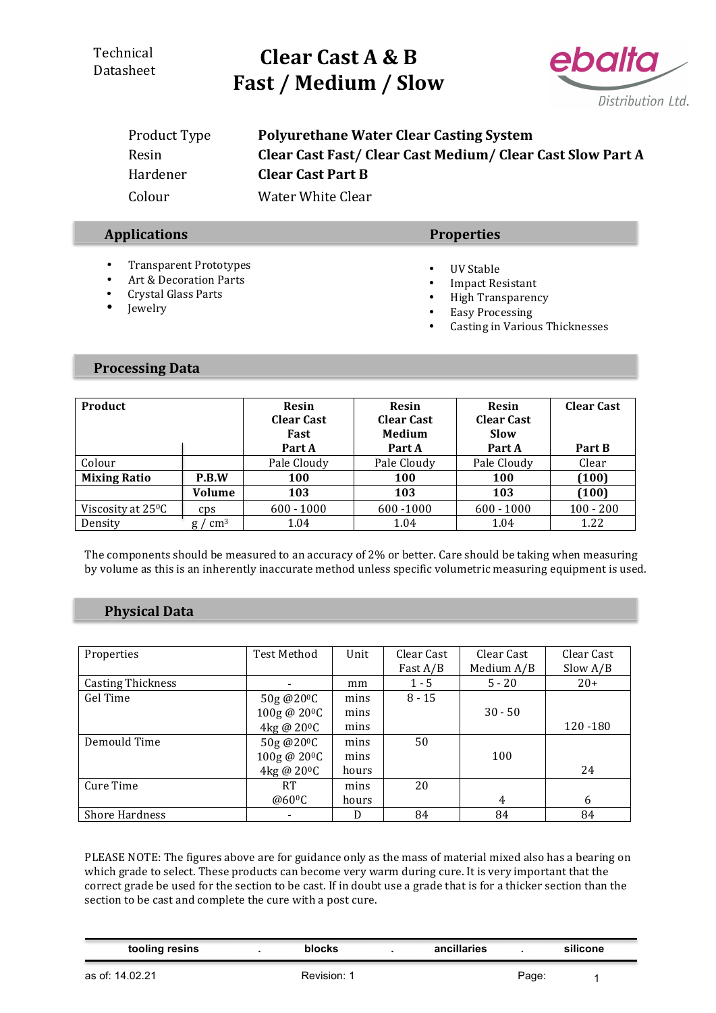### **Technical** Datasheet

# **Clear Cast A & B** Fast / Medium / Slow



| Product Type | <b>Polyurethane Water Clear Casting System</b>           |
|--------------|----------------------------------------------------------|
| Resin        | Clear Cast Fast/Clear Cast Medium/Clear Cast Slow Part A |
| Hardener     | <b>Clear Cast Part B</b>                                 |
| Colour       | Water White Clear                                        |

### **Applications Properties**

- Transparent Prototypes
- Art & Decoration Parts
- Crystal Glass Parts
- Jewelry

### • UV Stable

- Impact Resistant
- High Transparency
- Easy Processing
- Casting in Various Thicknesses

#### **Processing Data**

| Product                        |            | Resin<br><b>Clear Cast</b><br>Fast | Resin<br><b>Clear Cast</b><br>Medium | <b>Resin</b><br><b>Clear Cast</b><br><b>Slow</b> | <b>Clear Cast</b> |
|--------------------------------|------------|------------------------------------|--------------------------------------|--------------------------------------------------|-------------------|
|                                |            | Part A                             | Part A                               | Part A                                           | Part B            |
| Colour                         |            | Pale Cloudy                        | Pale Cloudy                          | Pale Cloudy                                      | Clear             |
| <b>Mixing Ratio</b>            | P.B.W      | 100                                | 100                                  | <b>100</b>                                       | (100)             |
|                                | Volume     | 103                                | 103                                  | 103                                              | (100)             |
| Viscosity at 25 <sup>o</sup> C | CDS        | $600 - 1000$                       | 600 - 1000                           | $600 - 1000$                                     | $100 - 200$       |
| Density                        | $\rm cm^3$ | 1.04                               | 1.04                                 | 1.04                                             | 1.22              |

The components should be measured to an accuracy of 2% or better. Care should be taking when measuring by volume as this is an inherently inaccurate method unless specific volumetric measuring equipment is used.

### **Physical Data**

| Properties               | Test Method              | Unit  | Clear Cast | Clear Cast | Clear Cast |
|--------------------------|--------------------------|-------|------------|------------|------------|
|                          |                          |       | Fast A/B   | Medium A/B | Slow $A/B$ |
| <b>Casting Thickness</b> |                          | mm    | $1 - 5$    | $5 - 20$   | $20+$      |
| Gel Time                 | 50g @20 <sup>o</sup> C   | mins  | $8 - 15$   |            |            |
|                          | 100g @ 20 <sup>o</sup> C | mins  |            | $30 - 50$  |            |
|                          | 4kg @ 20 <sup>o</sup> C  | mins  |            |            | 120 - 180  |
| Demould Time             | 50g@20 <sup>o</sup> C    | mins  | 50         |            |            |
|                          | 100g @ 20 <sup>o</sup> C | mins  |            | 100        |            |
|                          | 4kg @ 20 <sup>o</sup> C  | hours |            |            | 24         |
| Cure Time                | <b>RT</b>                | mins  | 20         |            |            |
|                          | @60 <sup>o</sup> C       | hours |            | 4          | 6          |
| <b>Shore Hardness</b>    |                          | D     | 84         | 84         | 84         |

PLEASE NOTE: The figures above are for guidance only as the mass of material mixed also has a bearing on which grade to select. These products can become very warm during cure. It is very important that the correct grade be used for the section to be cast. If in doubt use a grade that is for a thicker section than the section to be cast and complete the cure with a post cure.

| tooling resins  | blocks      | ancillaries |       | silicone |
|-----------------|-------------|-------------|-------|----------|
| as of: 14.02.21 | Revision: 1 |             | Page: |          |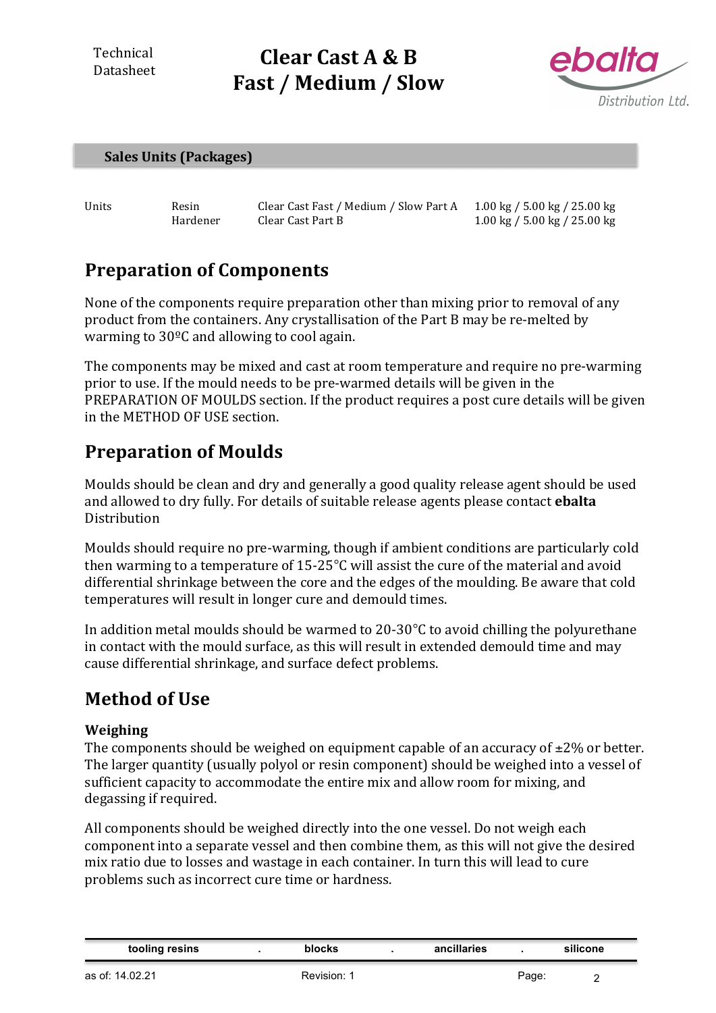Technical Datasheet

# **Clear Cast A & B** Fast / Medium / Slow



### **Sales Units (Packages)**

Units Resin Clear Cast Fast / Medium / Slow Part A 1.00 kg / 5.00 kg / 25.00 kg Hardener Clear Cast Part B 1.00 kg / 5.00 kg / 25.00 kg

## **Preparation of Components**

None of the components require preparation other than mixing prior to removal of any product from the containers. Any crystallisation of the Part B may be re-melted by warming to  $30^{\circ}$ C and allowing to cool again.

The components may be mixed and cast at room temperature and require no pre-warming prior to use. If the mould needs to be pre-warmed details will be given in the PREPARATION OF MOULDS section. If the product requires a post cure details will be given in the METHOD OF USE section.

## **Preparation of Moulds**

Moulds should be clean and dry and generally a good quality release agent should be used and allowed to dry fully. For details of suitable release agents please contact **ebalta** Distribution

Moulds should require no pre-warming, though if ambient conditions are particularly cold then warming to a temperature of  $15{\text -}25^{\circ}$ C will assist the cure of the material and avoid differential shrinkage between the core and the edges of the moulding. Be aware that cold temperatures will result in longer cure and demould times.

In addition metal moulds should be warmed to 20-30 $\degree$ C to avoid chilling the polyurethane in contact with the mould surface, as this will result in extended demould time and may cause differential shrinkage, and surface defect problems.

## **Method of Use**

### **Weighing**

The components should be weighed on equipment capable of an accuracy of  $\pm 2\%$  or better. The larger quantity (usually polyol or resin component) should be weighed into a vessel of sufficient capacity to accommodate the entire mix and allow room for mixing, and degassing if required.

All components should be weighed directly into the one vessel. Do not weigh each component into a separate vessel and then combine them, as this will not give the desired mix ratio due to losses and wastage in each container. In turn this will lead to cure problems such as incorrect cure time or hardness.

| tooling resins | blocks | ancillaries |  | silicone |  |
|----------------|--------|-------------|--|----------|--|
|----------------|--------|-------------|--|----------|--|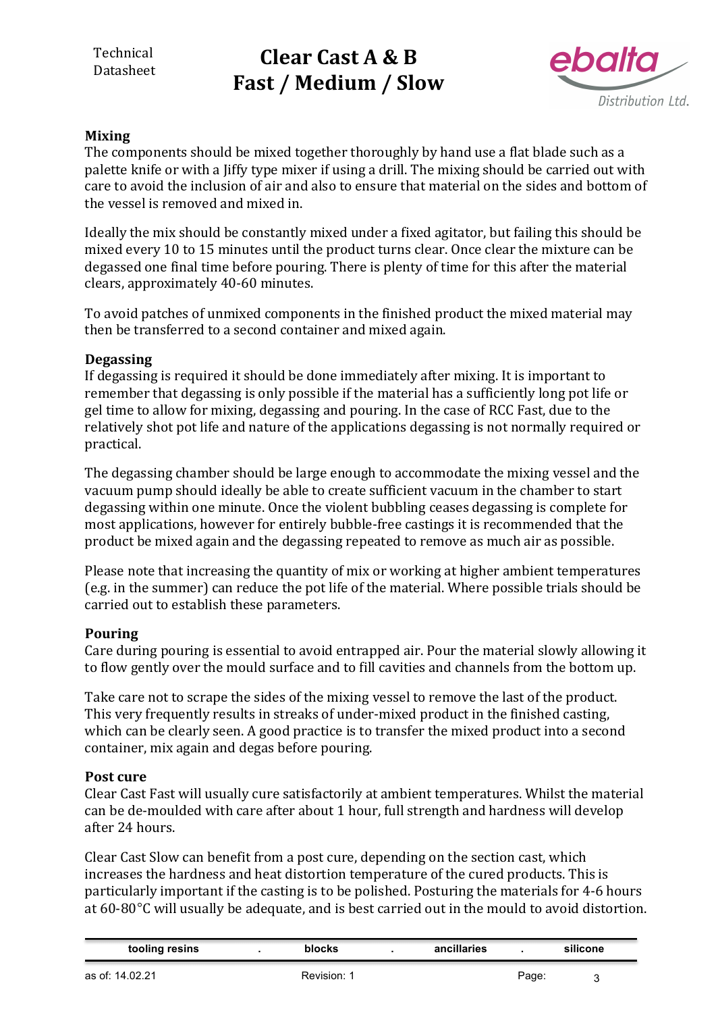# **Clear Cast A & B** Fast / Medium / Slow



### **Mixing**

The components should be mixed together thoroughly by hand use a flat blade such as a palette knife or with a liffy type mixer if using a drill. The mixing should be carried out with care to avoid the inclusion of air and also to ensure that material on the sides and bottom of the vessel is removed and mixed in.

Ideally the mix should be constantly mixed under a fixed agitator, but failing this should be mixed every 10 to 15 minutes until the product turns clear. Once clear the mixture can be degassed one final time before pouring. There is plenty of time for this after the material clears, approximately 40-60 minutes.

To avoid patches of unmixed components in the finished product the mixed material may then be transferred to a second container and mixed again.

### **Degassing**

If degassing is required it should be done immediately after mixing. It is important to remember that degassing is only possible if the material has a sufficiently long pot life or gel time to allow for mixing, degassing and pouring. In the case of RCC Fast, due to the relatively shot pot life and nature of the applications degassing is not normally required or practical. 

The degassing chamber should be large enough to accommodate the mixing vessel and the vacuum pump should ideally be able to create sufficient vacuum in the chamber to start degassing within one minute. Once the violent bubbling ceases degassing is complete for most applications, however for entirely bubble-free castings it is recommended that the product be mixed again and the degassing repeated to remove as much air as possible.

Please note that increasing the quantity of mix or working at higher ambient temperatures (e.g. in the summer) can reduce the pot life of the material. Where possible trials should be carried out to establish these parameters.

### **Pouring**

Care during pouring is essential to avoid entrapped air. Pour the material slowly allowing it to flow gently over the mould surface and to fill cavities and channels from the bottom up.

Take care not to scrape the sides of the mixing vessel to remove the last of the product. This very frequently results in streaks of under-mixed product in the finished casting, which can be clearly seen. A good practice is to transfer the mixed product into a second container, mix again and degas before pouring.

### **Post cure**

Clear Cast Fast will usually cure satisfactorily at ambient temperatures. Whilst the material can be de-moulded with care after about 1 hour, full strength and hardness will develop after 24 hours. 

Clear Cast Slow can benefit from a post cure, depending on the section cast, which increases the hardness and heat distortion temperature of the cured products. This is particularly important if the casting is to be polished. Posturing the materials for 4-6 hours at 60-80°C will usually be adequate, and is best carried out in the mould to avoid distortion.

| tooling resins | blocks | ancillaries | silicone |
|----------------|--------|-------------|----------|
|                |        |             |          |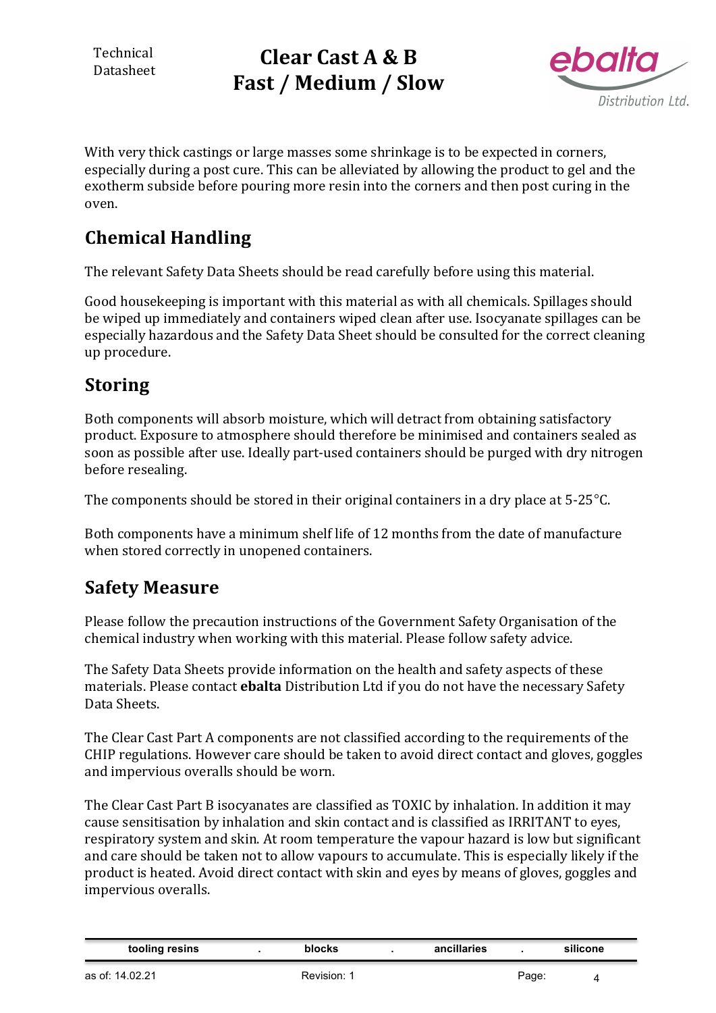Technical Datasheet

# **Clear Cast A & B** Fast / Medium / Slow



With very thick castings or large masses some shrinkage is to be expected in corners, especially during a post cure. This can be alleviated by allowing the product to gel and the exotherm subside before pouring more resin into the corners and then post curing in the oven.

## **Chemical Handling**

The relevant Safety Data Sheets should be read carefully before using this material.

Good housekeeping is important with this material as with all chemicals. Spillages should be wiped up immediately and containers wiped clean after use. Isocyanate spillages can be especially hazardous and the Safety Data Sheet should be consulted for the correct cleaning up procedure.

## **Storing**

Both components will absorb moisture, which will detract from obtaining satisfactory product. Exposure to atmosphere should therefore be minimised and containers sealed as soon as possible after use. Ideally part-used containers should be purged with dry nitrogen before resealing.

The components should be stored in their original containers in a dry place at  $5\text{-}25^{\circ}\text{C}$ .

Both components have a minimum shelf life of 12 months from the date of manufacture when stored correctly in unopened containers.

## **Safety Measure**

Please follow the precaution instructions of the Government Safety Organisation of the chemical industry when working with this material. Please follow safety advice.

The Safety Data Sheets provide information on the health and safety aspects of these materials. Please contact **ebalta** Distribution Ltd if you do not have the necessary Safety Data Sheets.

The Clear Cast Part A components are not classified according to the requirements of the CHIP regulations. However care should be taken to avoid direct contact and gloves, goggles and impervious overalls should be worn.

The Clear Cast Part B isocyanates are classified as TOXIC by inhalation. In addition it may cause sensitisation by inhalation and skin contact and is classified as IRRITANT to eyes, respiratory system and skin. At room temperature the vapour hazard is low but significant and care should be taken not to allow vapours to accumulate. This is especially likely if the product is heated. Avoid direct contact with skin and eyes by means of gloves, goggles and impervious overalls.

| tooling resins | ำlocks | ancillaries | silicone |  |
|----------------|--------|-------------|----------|--|
|                |        |             |          |  |